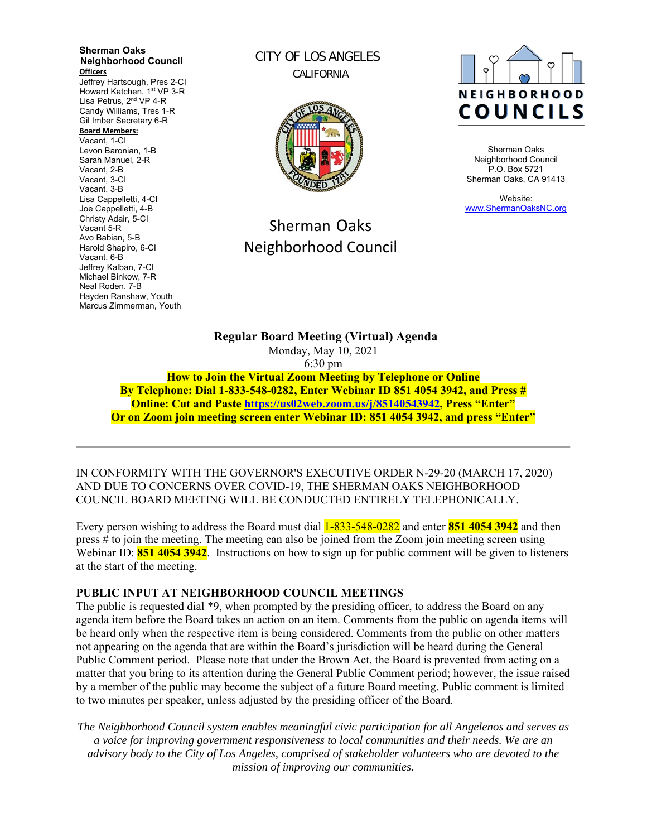**Sherman Oaks Neighborhood Council Officers**  Jeffrey Hartsough, Pres 2-CI Howard Katchen, 1<sup>st</sup> VP 3-R Lisa Petrus, 2<sup>nd</sup> VP 4-R Candy Williams, Tres 1-R Gil Imber Secretary 6-R **Board Members:** Vacant, 1-CI Levon Baronian, 1-B Sarah Manuel, 2-R Vacant, 2-B Vacant, 3-CI Vacant, 3-B Lisa Cappelletti, 4-CI Joe Cappelletti, 4-B Christy Adair, 5-CI Vacant 5-R Avo Babian, 5-B Harold Shapiro, 6-CI Vacant, 6-B Jeffrey Kalban, 7-CI Michael Binkow, 7-R Neal Roden, 7-B Hayden Ranshaw, Youth Marcus Zimmerman, Youth

CITY OF LOS ANGELES CALIFORNIA



# Sherman Oaks Neighborhood Council



Sherman Oaks Neighborhood Council P.O. Box 5721 Sherman Oaks, CA 91413

Website: www.ShermanOaksNC.org

**Regular Board Meeting (Virtual) Agenda**  Monday, May 10, 2021 6:30 pm **How to Join the Virtual Zoom Meeting by Telephone or Online By Telephone: Dial 1-833-548-0282, Enter Webinar ID 851 4054 3942, and Press #** 

**Online: Cut and Paste https://us02web.zoom.us/j/85140543942, Press "Enter" Or on Zoom join meeting screen enter Webinar ID: 851 4054 3942, and press "Enter"** 

IN CONFORMITY WITH THE GOVERNOR'S EXECUTIVE ORDER N-29-20 (MARCH 17, 2020) AND DUE TO CONCERNS OVER COVID-19, THE SHERMAN OAKS NEIGHBORHOOD COUNCIL BOARD MEETING WILL BE CONDUCTED ENTIRELY TELEPHONICALLY.

Every person wishing to address the Board must dial 1-833-548-0282 and enter **851 4054 3942** and then press # to join the meeting. The meeting can also be joined from the Zoom join meeting screen using Webinar ID: **851 4054 3942**. Instructions on how to sign up for public comment will be given to listeners at the start of the meeting.

#### **PUBLIC INPUT AT NEIGHBORHOOD COUNCIL MEETINGS**

The public is requested dial \*9, when prompted by the presiding officer, to address the Board on any agenda item before the Board takes an action on an item. Comments from the public on agenda items will be heard only when the respective item is being considered. Comments from the public on other matters not appearing on the agenda that are within the Board's jurisdiction will be heard during the General Public Comment period. Please note that under the Brown Act, the Board is prevented from acting on a matter that you bring to its attention during the General Public Comment period; however, the issue raised by a member of the public may become the subject of a future Board meeting. Public comment is limited to two minutes per speaker, unless adjusted by the presiding officer of the Board.

*The Neighborhood Council system enables meaningful civic participation for all Angelenos and serves as a voice for improving government responsiveness to local communities and their needs. We are an advisory body to the City of Los Angeles, comprised of stakeholder volunteers who are devoted to the mission of improving our communities.*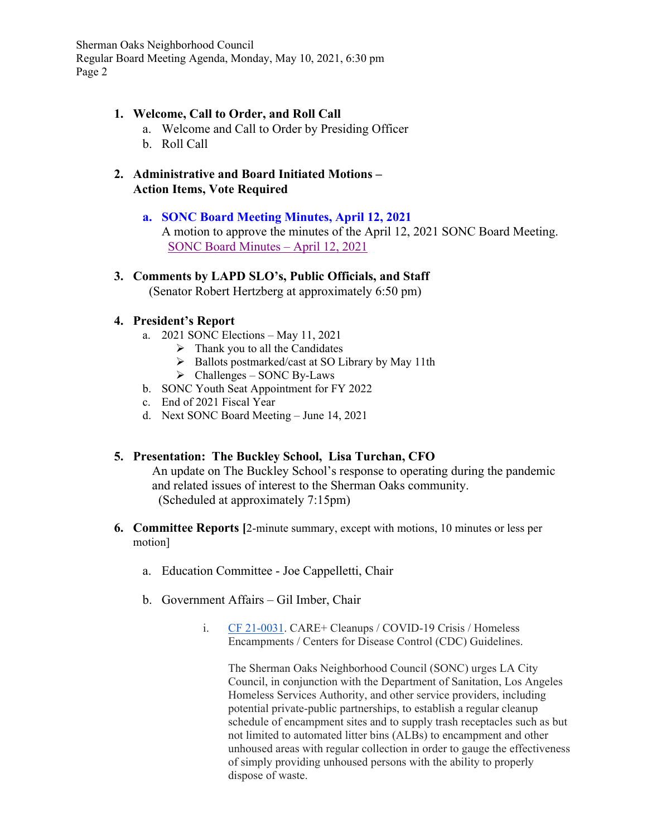# **1. Welcome, Call to Order, and Roll Call**

- a. Welcome and Call to Order by Presiding Officer
- b. Roll Call
- **2. Administrative and Board Initiated Motions Action Items, Vote Required**

### **a. SONC Board Meeting Minutes, April 12, 2021**

A motion to approve the minutes of the April 12, 2021 SONC Board Meeting. SONC Board Minutes – April 12, 2021

# **3. Comments by LAPD SLO's, Public Officials, and Staff**

(Senator Robert Hertzberg at approximately 6:50 pm)

### **4. President's Report**

- a. 2021 SONC Elections May 11, 2021
	- $\triangleright$  Thank you to all the Candidates
	- $\triangleright$  Ballots postmarked/cast at SO Library by May 11th
	- $\triangleright$  Challenges SONC By-Laws
- b. SONC Youth Seat Appointment for FY 2022
- c. End of 2021 Fiscal Year
- d. Next SONC Board Meeting June 14, 2021

# **5. Presentation: The Buckley School, Lisa Turchan, CFO**

An update on The Buckley School's response to operating during the pandemic and related issues of interest to the Sherman Oaks community. (Scheduled at approximately 7:15pm)

- **6. Committee Reports [**2-minute summary, except with motions, 10 minutes or less per motion]
	- a. Education Committee Joe Cappelletti, Chair
	- b. Government Affairs Gil Imber, Chair
		- i. CF 21-0031. CARE+ Cleanups / COVID-19 Crisis / Homeless Encampments / Centers for Disease Control (CDC) Guidelines.

The Sherman Oaks Neighborhood Council (SONC) urges LA City Council, in conjunction with the Department of Sanitation, Los Angeles Homeless Services Authority, and other service providers, including potential private-public partnerships, to establish a regular cleanup schedule of encampment sites and to supply trash receptacles such as but not limited to automated litter bins (ALBs) to encampment and other unhoused areas with regular collection in order to gauge the effectiveness of simply providing unhoused persons with the ability to properly dispose of waste.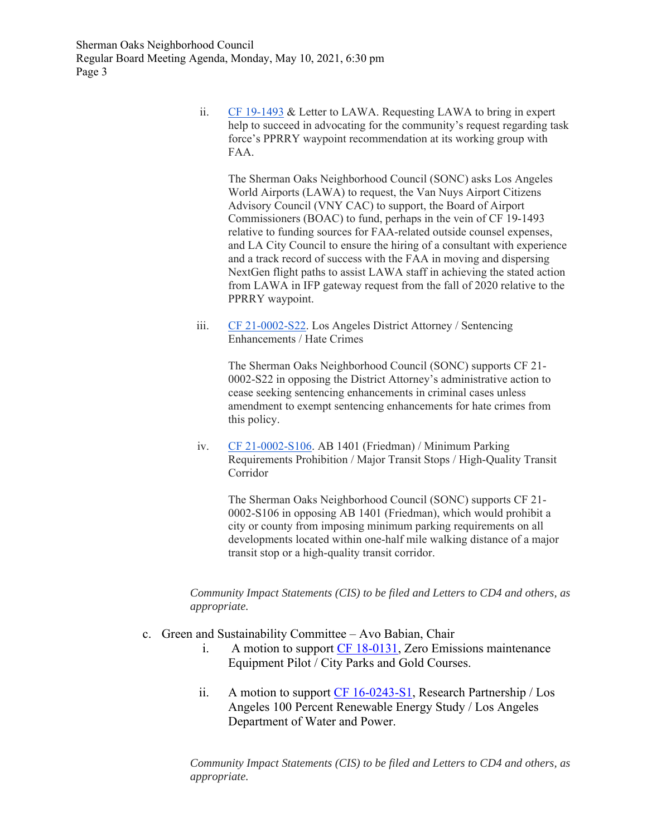> ii. CF 19-1493 & Letter to LAWA. Requesting LAWA to bring in expert help to succeed in advocating for the community's request regarding task force's PPRRY waypoint recommendation at its working group with FAA.

The Sherman Oaks Neighborhood Council (SONC) asks Los Angeles World Airports (LAWA) to request, the Van Nuys Airport Citizens Advisory Council (VNY CAC) to support, the Board of Airport Commissioners (BOAC) to fund, perhaps in the vein of CF 19-1493 relative to funding sources for FAA-related outside counsel expenses, and LA City Council to ensure the hiring of a consultant with experience and a track record of success with the FAA in moving and dispersing NextGen flight paths to assist LAWA staff in achieving the stated action from LAWA in IFP gateway request from the fall of 2020 relative to the PPRRY waypoint.

iii. CF 21-0002-S22. Los Angeles District Attorney / Sentencing Enhancements / Hate Crimes

> The Sherman Oaks Neighborhood Council (SONC) supports CF 21- 0002-S22 in opposing the District Attorney's administrative action to cease seeking sentencing enhancements in criminal cases unless amendment to exempt sentencing enhancements for hate crimes from this policy.

iv. CF 21-0002-S106. AB 1401 (Friedman) / Minimum Parking Requirements Prohibition / Major Transit Stops / High-Quality Transit Corridor

The Sherman Oaks Neighborhood Council (SONC) supports CF 21- 0002-S106 in opposing AB 1401 (Friedman), which would prohibit a city or county from imposing minimum parking requirements on all developments located within one-half mile walking distance of a major transit stop or a high-quality transit corridor.

*Community Impact Statements (CIS) to be filed and Letters to CD4 and others, as appropriate.*

- c. Green and Sustainability Committee Avo Babian, Chair
	- i. A motion to support CF 18-0131, Zero Emissions maintenance Equipment Pilot / City Parks and Gold Courses.
	- ii. A motion to support CF 16-0243-S1, Research Partnership / Los Angeles 100 Percent Renewable Energy Study / Los Angeles Department of Water and Power.

*Community Impact Statements (CIS) to be filed and Letters to CD4 and others, as appropriate.*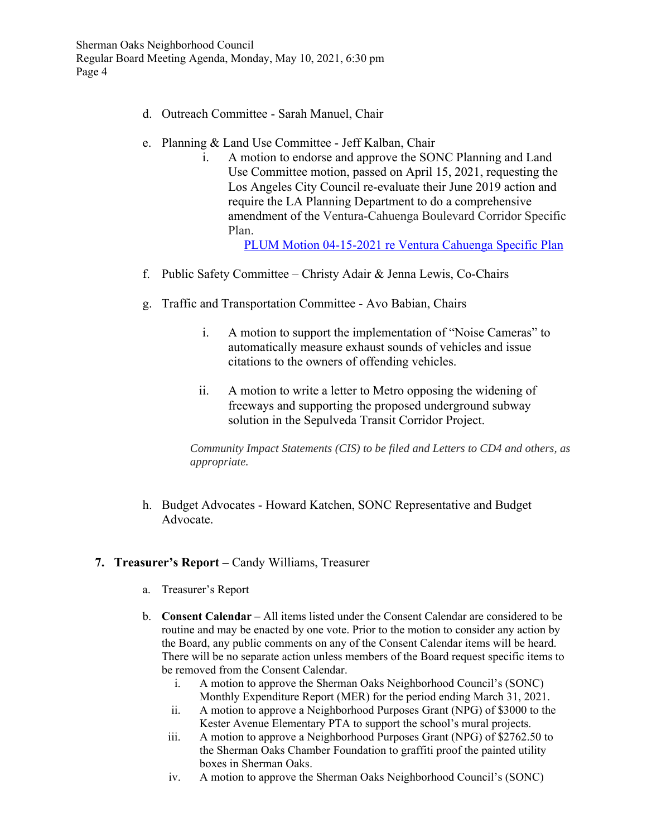- d. Outreach Committee Sarah Manuel, Chair
- e. Planning & Land Use Committee Jeff Kalban, Chair
	- i. A motion to endorse and approve the SONC Planning and Land Use Committee motion, passed on April 15, 2021, requesting the Los Angeles City Council re-evaluate their June 2019 action and require the LA Planning Department to do a comprehensive amendment of the Ventura-Cahuenga Boulevard Corridor Specific Plan.

PLUM Motion 04-15-2021 re Ventura Cahuenga Specific Plan

- f. Public Safety Committee Christy Adair & Jenna Lewis, Co-Chairs
- g. Traffic and Transportation Committee Avo Babian, Chairs
	- i. A motion to support the implementation of "Noise Cameras" to automatically measure exhaust sounds of vehicles and issue citations to the owners of offending vehicles.
	- ii. A motion to write a letter to Metro opposing the widening of freeways and supporting the proposed underground subway solution in the Sepulveda Transit Corridor Project.

*Community Impact Statements (CIS) to be filed and Letters to CD4 and others, as appropriate.*

h. Budget Advocates - Howard Katchen, SONC Representative and Budget Advocate.

# **7. Treasurer's Report –** Candy Williams, Treasurer

- a. Treasurer's Report
- b. **Consent Calendar** All items listed under the Consent Calendar are considered to be routine and may be enacted by one vote. Prior to the motion to consider any action by the Board, any public comments on any of the Consent Calendar items will be heard. There will be no separate action unless members of the Board request specific items to be removed from the Consent Calendar.
	- i. A motion to approve the Sherman Oaks Neighborhood Council's (SONC) Monthly Expenditure Report (MER) for the period ending March 31, 2021.
	- ii. A motion to approve a Neighborhood Purposes Grant (NPG) of \$3000 to the Kester Avenue Elementary PTA to support the school's mural projects.
	- iii. A motion to approve a Neighborhood Purposes Grant (NPG) of \$2762.50 to the Sherman Oaks Chamber Foundation to graffiti proof the painted utility boxes in Sherman Oaks.
	- iv. A motion to approve the Sherman Oaks Neighborhood Council's (SONC)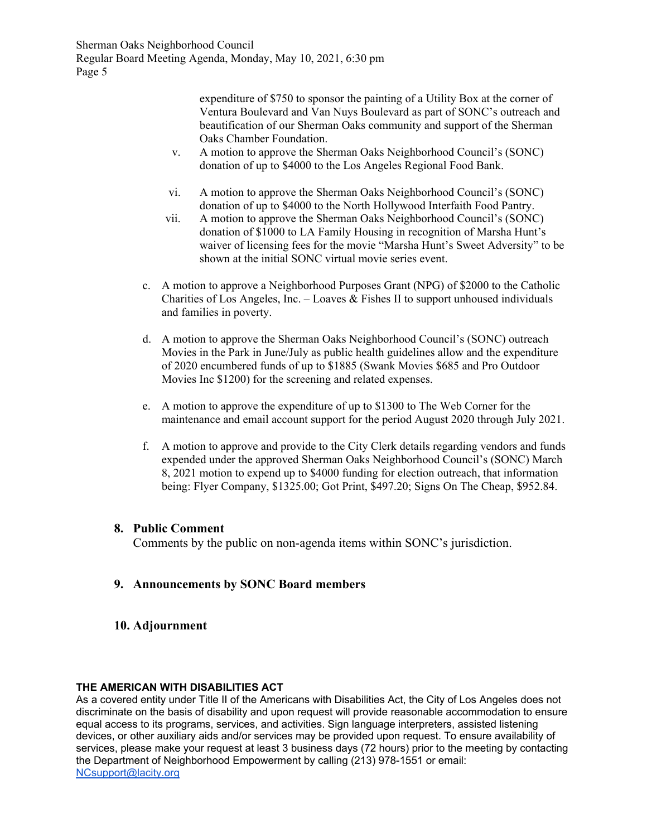> expenditure of \$750 to sponsor the painting of a Utility Box at the corner of Ventura Boulevard and Van Nuys Boulevard as part of SONC's outreach and beautification of our Sherman Oaks community and support of the Sherman Oaks Chamber Foundation.

- v. A motion to approve the Sherman Oaks Neighborhood Council's (SONC) donation of up to \$4000 to the Los Angeles Regional Food Bank.
- vi. A motion to approve the Sherman Oaks Neighborhood Council's (SONC) donation of up to \$4000 to the North Hollywood Interfaith Food Pantry.
- vii. A motion to approve the Sherman Oaks Neighborhood Council's (SONC) donation of \$1000 to LA Family Housing in recognition of Marsha Hunt's waiver of licensing fees for the movie "Marsha Hunt's Sweet Adversity" to be shown at the initial SONC virtual movie series event.
- c. A motion to approve a Neighborhood Purposes Grant (NPG) of \$2000 to the Catholic Charities of Los Angeles, Inc. – Loaves & Fishes II to support unhoused individuals and families in poverty.
- d. A motion to approve the Sherman Oaks Neighborhood Council's (SONC) outreach Movies in the Park in June/July as public health guidelines allow and the expenditure of 2020 encumbered funds of up to \$1885 (Swank Movies \$685 and Pro Outdoor Movies Inc \$1200) for the screening and related expenses.
- e. A motion to approve the expenditure of up to \$1300 to The Web Corner for the maintenance and email account support for the period August 2020 through July 2021.
- f. A motion to approve and provide to the City Clerk details regarding vendors and funds expended under the approved Sherman Oaks Neighborhood Council's (SONC) March 8, 2021 motion to expend up to \$4000 funding for election outreach, that information being: Flyer Company, \$1325.00; Got Print, \$497.20; Signs On The Cheap, \$952.84.

#### **8. Public Comment**

Comments by the public on non-agenda items within SONC's jurisdiction.

# **9. Announcements by SONC Board members**

**10. Adjournment** 

#### **THE AMERICAN WITH DISABILITIES ACT**

As a covered entity under Title II of the Americans with Disabilities Act, the City of Los Angeles does not discriminate on the basis of disability and upon request will provide reasonable accommodation to ensure equal access to its programs, services, and activities. Sign language interpreters, assisted listening devices, or other auxiliary aids and/or services may be provided upon request. To ensure availability of services, please make your request at least 3 business days (72 hours) prior to the meeting by contacting the Department of Neighborhood Empowerment by calling (213) 978-1551 or email: NCsupport@lacity.org